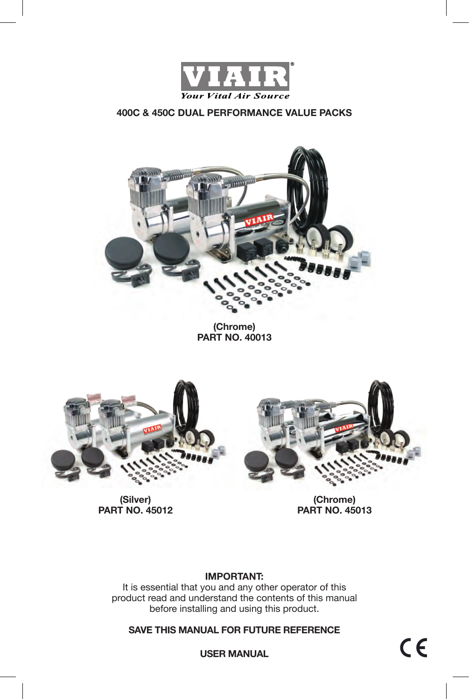



**(Chrome) PART NO. 40013**



**(Silver) PART NO. 45012**



**(Chrome) PART NO. 45013**

## **IMPORTANT:**

It is essential that you and any other operator of this product read and understand the contents of this manual before installing and using this product.

**SAVE THIS MANUAL FOR FUTURE REFERENCE**

 $C \in$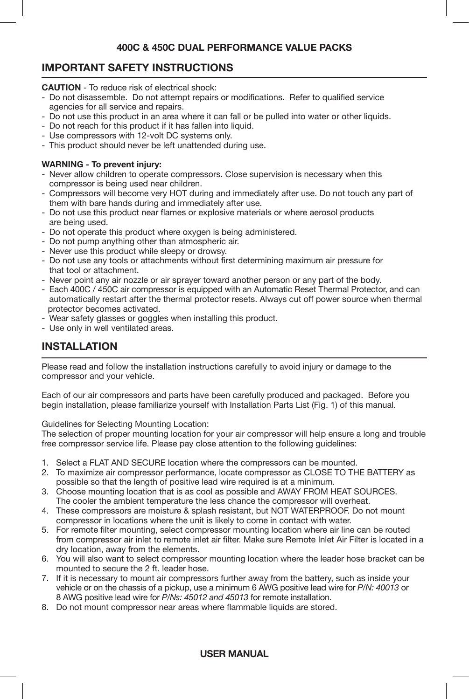# **IMPORTANT SAFETY INSTRUCTIONS**

**CAUTION** - To reduce risk of electrical shock:

- Do not disassemble. Do not attempt repairs or modifications. Refer to qualified service agencies for all service and repairs.
- Do not use this product in an area where it can fall or be pulled into water or other liquids.
- Do not reach for this product if it has fallen into liquid.
- Use compressors with 12-volt DC systems only.
- This product should never be left unattended during use.

### **WARNING - To prevent injury:**

- Never allow children to operate compressors. Close supervision is necessary when this compressor is being used near children.
- Compressors will become very HOT during and immediately after use. Do not touch any part of them with bare hands during and immediately after use.
- Do not use this product near flames or explosive materials or where aerosol products are being used.
- Do not operate this product where oxygen is being administered.
- Do not pump anything other than atmospheric air.
- Never use this product while sleepy or drowsy.
- Do not use any tools or attachments without first determining maximum air pressure for that tool or attachment.
- Never point any air nozzle or air sprayer toward another person or any part of the body.
- Each 400C / 450C air compressor is equipped with an Automatic Reset Thermal Protector, and can automatically restart after the thermal protector resets. Always cut off power source when thermal protector becomes activated.
- Wear safety glasses or goggles when installing this product.
- Use only in well ventilated areas.

# **INSTALLATION**

Please read and follow the installation instructions carefully to avoid injury or damage to the compressor and your vehicle.

Each of our air compressors and parts have been carefully produced and packaged. Before you begin installation, please familiarize yourself with Installation Parts List (Fig. 1) of this manual.

Guidelines for Selecting Mounting Location:

The selection of proper mounting location for your air compressor will help ensure a long and trouble free compressor service life. Please pay close attention to the following guidelines:

- 1. Select a FLAT AND SECURE location where the compressors can be mounted.
- 2. To maximize air compressor performance, locate compressor as CLOSE TO THE BATTERY as possible so that the length of positive lead wire required is at a minimum.
- 3. Choose mounting location that is as cool as possible and AWAY FROM HEAT SOURCES. The cooler the ambient temperature the less chance the compressor will overheat.
- 4. These compressors are moisture & splash resistant, but NOT WATERPROOF. Do not mount compressor in locations where the unit is likely to come in contact with water.
- 5. For remote filter mounting, select compressor mounting location where air line can be routed from compressor air inlet to remote inlet air filter. Make sure Remote Inlet Air Filter is located in a dry location, away from the elements.
- 6. You will also want to select compressor mounting location where the leader hose bracket can be mounted to secure the 2 ft. leader hose.
- 7. If it is necessary to mount air compressors further away from the battery, such as inside your vehicle or on the chassis of a pickup, use a minimum 6 AWG positive lead wire for *P/N: 40013* or 8 AWG positive lead wire for *P/Ns: 45012 and 45013* for remote installation.
- 8. Do not mount compressor near areas where flammable liquids are stored.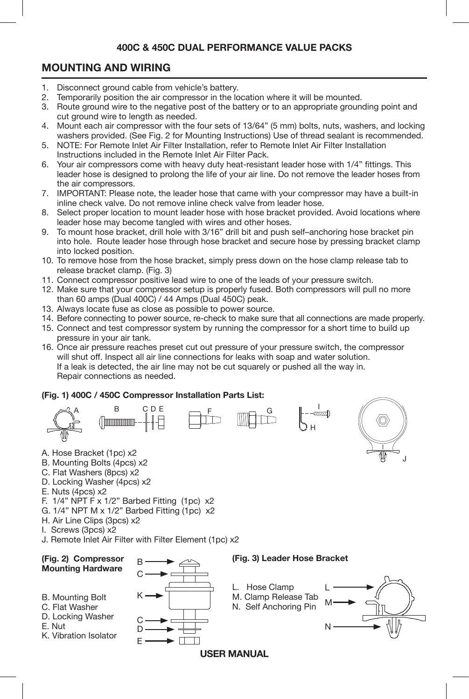# **MOUNTING AND WIRING**

- 1. Disconnect ground cable from vehicle's battery.
- 2. Temporarily position the air compressor in the location where it will be mounted.
- 3. Route ground wire to the negative post of the battery or to an appropriate grounding point and cut ground wire to length as needed.
- 4. Mount each air compressor with the four sets of 13/64" (5 mm) bolts, nuts, washers, and locking washers provided. (See Fig. 2 for Mounting Instructions) Use of thread sealant is recommended.
- 5. NOTE: For Remote Inlet Air Filter Installation, refer to Remote Inlet Air Filter Installation Instructions included in the Remote Inlet Air Filter Pack.
- 6. Your air compressors come with heavy duty heat-resistant leader hose with 1/4" fittings. This leader hose is designed to prolong the life of your air line. Do not remove the leader hoses from the air compressors.
- 7. IMPORTANT: Please note, the leader hose that came with your compressor may have a built-in inline check valve. Do not remove inline check valve from leader hose.
- 8. Select proper location to mount leader hose with hose bracket provided. Avoid locations where leader hose may become tangled with wires and other hoses.
- 9. To mount hose bracket, drill hole with 3/16" drill bit and push self–anchoring hose bracket pin into hole. Route leader hose through hose bracket and secure hose by pressing bracket clamp into locked position.
- 10. To remove hose from the hose bracket, simply press down on the hose clamp release tab to release bracket clamp. (Fig. 3)
- 11. Connect compressor positive lead wire to one of the leads of your pressure switch.
- 12. Make sure that your compressor setup is properly fused. Both compressors will pull no more than 60 amps (Dual 400C) / 44 Amps (Dual 450C) peak.
- 13. Always locate fuse as close as possible to power source.
- 14. Before connecting to power source, re-check to make sure that all connections are made properly.
- 15. Connect and test compressor system by running the compressor for a short time to build up pressure in your air tank.
- 16. Once air pressure reaches preset cut out pressure of your pressure switch, the compressor will shut off. Inspect all air line connections for leaks with soap and water solution. If a leak is detected, the air line may not be cut squarely or pushed all the way in. Repair connections as needed.

#### **(Fig. 1) 400C / 450C Compressor Installation Parts List:**





- B. Mounting Bolts (4pcs) x2
- C. Flat Washers (8pcs) x2
- D. Locking Washer (4pcs) x2
- E. Nuts (4pcs) x2
- F. 1/4" NPT F x 1/2" Barbed Fitting (1pc) x2
- G. 1/4" NPT M x 1/2" Barbed Fitting (1pc) x2
- H. Air Line Clips (3pcs) x2
- I. Screws (3pcs) x2
- J. Remote Inlet Air Filter with Filter Element (1pc) x2



J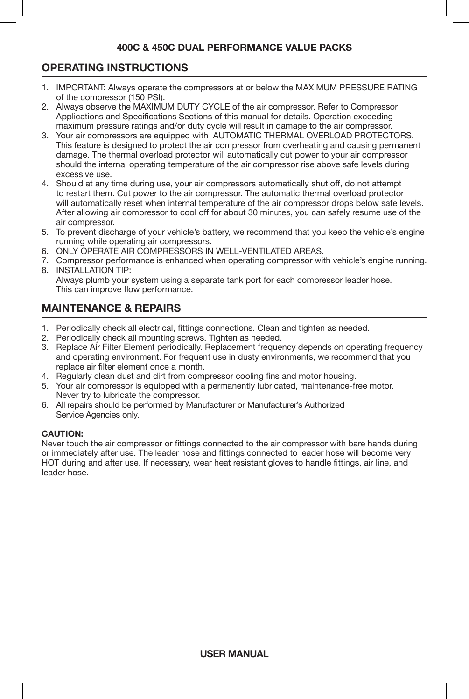# **OPERATING INSTRUCTIONS**

- 1 1. IMPORTANT: Always operate the compressors at or below the MAXIMUM PRESSURE RATING of the compressor (150 PSI).
- 2. Always observe the MAXIMUM DUTY CYCLE of the air compressor. Refer to Compressor Applications and Specifications Sections of this manual for details. Operation exceeding maximum pressure ratings and/or duty cycle will result in damage to the air compressor.
- 3. Your air compressors are equipped with AUTOMATIC THERMAL OVERLOAD PROTECTORS. This feature is designed to protect the air compressor from overheating and causing permanent damage. The thermal overload protector will automatically cut power to your air compressor should the internal operating temperature of the air compressor rise above safe levels during excessive use.
- 4. Should at any time during use, your air compressors automatically shut off, do not attempt to restart them. Cut power to the air compressor. The automatic thermal overload protector will automatically reset when internal temperature of the air compressor drops below safe levels. After allowing air compressor to cool off for about 30 minutes, you can safely resume use of the air compressor.
- 5. To prevent discharge of your vehicle's battery, we recommend that you keep the vehicle's engine running while operating air compressors.
- 6. ONLY OPERATE AIR COMPRESSORS IN WELL-VENTILATED AREAS.
- 7. Compressor performance is enhanced when operating compressor with vehicle's engine running. 8. INSTALLATION TIP:

 Always plumb your system using a separate tank port for each compressor leader hose. This can improve flow performance.

# **MAINTENANCE & REPAIRS**

- 1. Periodically check all electrical, fittings connections. Clean and tighten as needed.
- 2. Periodically check all mounting screws. Tighten as needed.
- 3. Replace Air Filter Element periodically. Replacement frequency depends on operating frequency and operating environment. For frequent use in dusty environments, we recommend that you replace air filter element once a month.
- 4. Regularly clean dust and dirt from compressor cooling fins and motor housing.
- 5. Your air compressor is equipped with a permanently lubricated, maintenance-free motor. Never try to lubricate the compressor.
- 6. All repairs should be performed by Manufacturer or Manufacturer's Authorized Service Agencies only.

#### **CAUTION:**

Never touch the air compressor or fittings connected to the air compressor with bare hands during or immediately after use. The leader hose and fittings connected to leader hose will become very HOT during and after use. If necessary, wear heat resistant gloves to handle fittings, air line, and leader hose.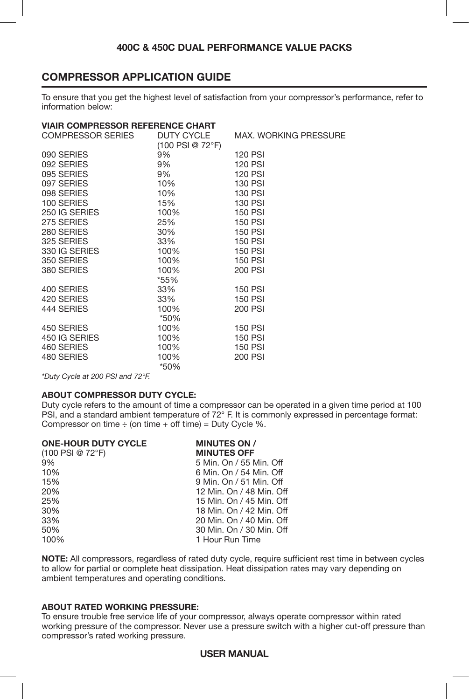# **COMPRESSOR APPLICATION GUIDE**

To ensure that you get the highest level of satisfaction from your compressor's performance, refer to information below:

| <b>VIAIR COMPRESSOR REFERENCE CHART</b> |                              |                              |  |  |
|-----------------------------------------|------------------------------|------------------------------|--|--|
| COMPRESSOR SERIES DUTY CYCLE            |                              | <b>MAX. WORKING PRESSURE</b> |  |  |
|                                         | $(100$ PSI @ 72 $\degree$ F) |                              |  |  |
| 090 SERIES                              | 9%                           | <b>120 PSI</b>               |  |  |
| 092 SERIES                              | 9%                           | <b>120 PSI</b>               |  |  |
| 095 SERIES                              | 9%                           | <b>120 PSI</b>               |  |  |
| 097 SERIES                              | 10%                          | <b>130 PSI</b>               |  |  |
| 098 SERIES                              | 10%                          | <b>130 PSI</b>               |  |  |
| 100 SERIES                              | 15%                          | <b>130 PSI</b>               |  |  |
| 250 IG SERIES                           | 100%                         | <b>150 PSI</b>               |  |  |
| 275 SERIES                              | 25%                          | <b>150 PSI</b>               |  |  |
| 280 SERIES                              | 30%                          | <b>150 PSI</b>               |  |  |
| 325 SERIES                              | 33%                          | <b>150 PSI</b>               |  |  |
| 330 IG SERIES                           | 100%                         | <b>150 PSI</b>               |  |  |
| 350 SERIES                              | 100%                         | <b>150 PSI</b>               |  |  |
| 380 SERIES                              | 100%                         | 200 PSI                      |  |  |
|                                         | *55%                         |                              |  |  |
| 400 SERIES                              | 33%                          | <b>150 PSI</b>               |  |  |
| 420 SERIES                              | 33%                          | <b>150 PSI</b>               |  |  |
| 444 SERIES                              | 100%                         | <b>200 PSI</b>               |  |  |
|                                         | *50%                         |                              |  |  |
| 450 SERIES                              | 100%                         | <b>150 PSI</b>               |  |  |
| 450 IG SERIES                           | 100%                         | <b>150 PSI</b>               |  |  |
| 460 SERIES                              | 100%                         | <b>150 PSI</b>               |  |  |
| 480 SERIES                              | 100%                         | <b>200 PSI</b>               |  |  |
|                                         | *50%                         |                              |  |  |

*\*Duty Cycle at 200 PSI and 72°F.*

### **ABOUT COMPRESSOR DUTY CYCLE:**

Duty cycle refers to the amount of time a compressor can be operated in a given time period at 100 PSI, and a standard ambient temperature of 72° F. It is commonly expressed in percentage format: Compressor on time  $\div$  (on time  $+$  off time) = Duty Cycle %.

| <b>MINUTES ON /</b>      |
|--------------------------|
| <b>MINUTES OFF</b>       |
| 5 Min. On / 55 Min. Off  |
| 6 Min. On / 54 Min. Off  |
| 9 Min. On / 51 Min. Off  |
| 12 Min. On / 48 Min. Off |
| 15 Min. On / 45 Min. Off |
| 18 Min. On / 42 Min. Off |
| 20 Min. On / 40 Min. Off |
| 30 Min. On / 30 Min. Off |
| 1 Hour Run Time          |
|                          |

**NOTE:** All compressors, regardless of rated duty cycle, require sufficient rest time in between cycles to allow for partial or complete heat dissipation. Heat dissipation rates may vary depending on ambient temperatures and operating conditions.

#### **ABOUT RATED WORKING PRESSURE:**

To ensure trouble free service life of your compressor, always operate compressor within rated working pressure of the compressor. Never use a pressure switch with a higher cut-off pressure than compressor's rated working pressure.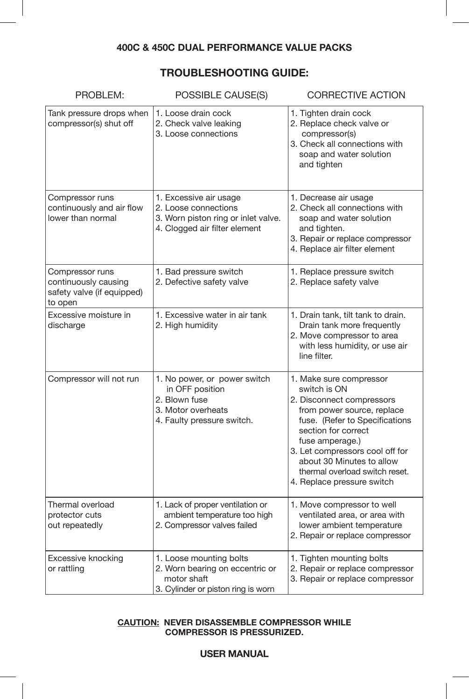# **TROUBLESHOOTING GUIDE:**

| PROBLEM:                                                                         | POSSIBLE CAUSE(S)                                                                                                      | <b>CORRECTIVE ACTION</b>                                                                                                                                                                                                                                                                                       |
|----------------------------------------------------------------------------------|------------------------------------------------------------------------------------------------------------------------|----------------------------------------------------------------------------------------------------------------------------------------------------------------------------------------------------------------------------------------------------------------------------------------------------------------|
| Tank pressure drops when<br>compressor(s) shut off                               | 1. Loose drain cock<br>2. Check valve leaking<br>3. Loose connections                                                  | 1. Tighten drain cock<br>2. Replace check valve or<br>compressor(s)<br>3. Check all connections with<br>soap and water solution<br>and tighten                                                                                                                                                                 |
| Compressor runs<br>continuously and air flow<br>lower than normal                | 1. Excessive air usage<br>2. Loose connections<br>3. Worn piston ring or inlet valve.<br>4. Clogged air filter element | 1. Decrease air usage<br>2. Check all connections with<br>soap and water solution<br>and tighten.<br>3. Repair or replace compressor<br>4. Replace air filter element                                                                                                                                          |
| Compressor runs<br>continuously causing<br>safety valve (if equipped)<br>to open | 1. Bad pressure switch<br>2. Defective safety valve                                                                    | 1. Replace pressure switch<br>2. Replace safety valve                                                                                                                                                                                                                                                          |
| Excessive moisture in<br>discharge                                               | 1. Excessive water in air tank<br>2. High humidity                                                                     | 1. Drain tank, tilt tank to drain.<br>Drain tank more frequently<br>2. Move compressor to area<br>with less humidity, or use air<br>line filter.                                                                                                                                                               |
| Compressor will not run                                                          | 1. No power, or power switch<br>in OFF position<br>2. Blown fuse<br>3. Motor overheats<br>4. Faulty pressure switch.   | 1. Make sure compressor<br>switch is ON<br>2. Disconnect compressors<br>from power source, replace<br>fuse. (Refer to Specifications<br>section for correct<br>fuse amperage.)<br>3. Let compressors cool off for<br>about 30 Minutes to allow<br>thermal overload switch reset.<br>4. Replace pressure switch |
| Thermal overload<br>protector cuts<br>out repeatedly                             | 1. Lack of proper ventilation or<br>ambient temperature too high<br>2. Compressor valves failed                        | 1. Move compressor to well<br>ventilated area, or area with<br>lower ambient temperature<br>2. Repair or replace compressor                                                                                                                                                                                    |
| Excessive knocking<br>or rattling                                                | 1. Loose mounting bolts<br>2. Worn bearing on eccentric or<br>motor shaft<br>3. Cylinder or piston ring is worn        | 1. Tighten mounting bolts<br>2. Repair or replace compressor<br>3. Repair or replace compressor                                                                                                                                                                                                                |

#### **CAUTION: NEVER DISASSEMBLE COMPRESSOR WHILE COMPRESSOR IS PRESSURIZED.**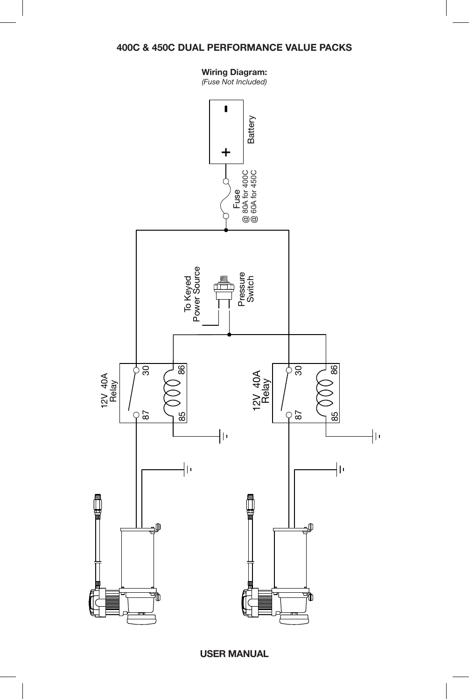### **Wiring Diagram:**

*(Fuse Not Included)*